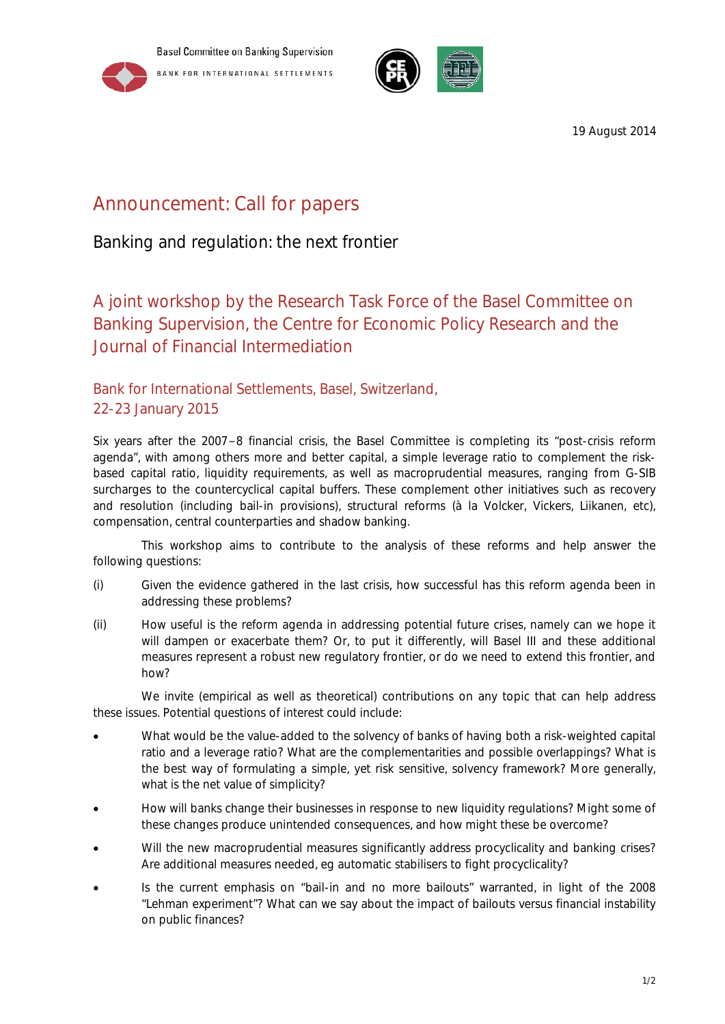



19 August 2014

# Announcement: Call for papers

Banking and regulation: the next frontier

## A joint workshop by the Research Task Force of the Basel Committee on Banking Supervision, the Centre for Economic Policy Research and the Journal of Financial Intermediation

## Bank for International Settlements, Basel, Switzerland, 22-23 January 2015

Six years after the 2007−8 financial crisis, the Basel Committee is completing its "post-crisis reform agenda", with among others more and better capital, a simple leverage ratio to complement the riskbased capital ratio, liquidity requirements, as well as macroprudential measures, ranging from G-SIB surcharges to the countercyclical capital buffers. These complement other initiatives such as recovery and resolution (including bail-in provisions), structural reforms (à la Volcker, Vickers, Liikanen, etc), compensation, central counterparties and shadow banking.

This workshop aims to contribute to the analysis of these reforms and help answer the following questions:

- (i) Given the evidence gathered in the last crisis, how successful has this reform agenda been in addressing these problems?
- (ii) How useful is the reform agenda in addressing potential future crises, namely can we hope it will dampen or exacerbate them? Or, to put it differently, will Basel III and these additional measures represent a robust new regulatory frontier, or do we need to extend this frontier, and how?

We invite (empirical as well as theoretical) contributions on any topic that can help address these issues. Potential questions of interest could include:

- What would be the value-added to the solvency of banks of having both a risk-weighted capital ratio and a leverage ratio? What are the complementarities and possible overlappings? What is the best way of formulating a simple, yet risk sensitive, solvency framework? More generally, what is the net value of simplicity?
- How will banks change their businesses in response to new liquidity regulations? Might some of these changes produce unintended consequences, and how might these be overcome?
- Will the new macroprudential measures significantly address procyclicality and banking crises? Are additional measures needed, eg automatic stabilisers to fight procyclicality?
- Is the current emphasis on "bail-in and no more bailouts" warranted, in light of the 2008 "Lehman experiment"? What can we say about the impact of bailouts versus financial instability on public finances?